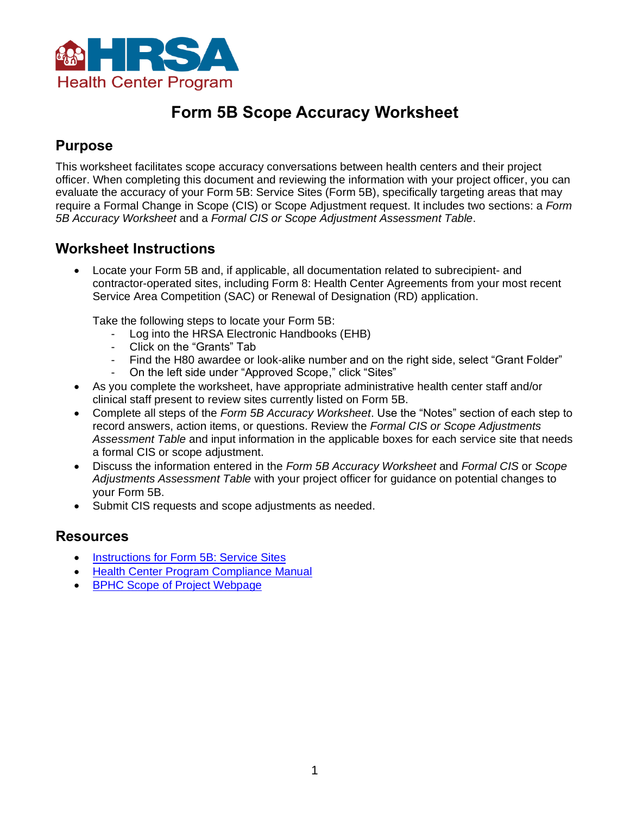

# **Form 5B Scope Accuracy Worksheet**

### **Purpose**

This worksheet facilitates scope accuracy conversations between health centers and their project officer. When completing this document and reviewing the information with your project officer, you can evaluate the accuracy of your Form 5B: Service Sites (Form 5B), specifically targeting areas that may require a Formal Change in Scope (CIS) or Scope Adjustment request. It includes two sections: a *Form 5B Accuracy Worksheet* and a *Formal CIS or Scope Adjustment Assessment Table*.

### **Worksheet Instructions**

• Locate your Form 5B and, if applicable, all documentation related to subrecipient- and contractor-operated sites, including Form 8: Health Center Agreements from your most recent Service Area Competition (SAC) or Renewal of Designation (RD) application.

Take the following steps to locate your Form 5B:

- Log into the HRSA Electronic Handbooks (EHB)
- Click on the "Grants" Tab
- Find the H80 awardee or look-alike number and on the right side, select "Grant Folder"
- On the left side under "Approved Scope," click "Sites"
- As you complete the worksheet, have appropriate administrative health center staff and/or clinical staff present to review sites currently listed on Form 5B.
- Complete all steps of the *Form 5B Accuracy Worksheet*. Use the "Notes" section of each step to record answers, action items, or questions. Review the *Formal CIS or Scope Adjustments Assessment Table* and input information in the applicable boxes for each service site that needs a formal CIS or scope adjustment.
- Discuss the information entered in the *Form 5B Accuracy Worksheet* and *Formal CIS* or *Scope Adjustments Assessment Table* with your project officer for guidance on potential changes to your Form 5B.
- Submit CIS requests and scope adjustments as needed.

### **Resources**

- [Instructions for Form 5B: Service Sites](https://bphc.hrsa.gov/programrequirements/scope/instructions-form-5b-service-sites)
- [Health Center Program Compliance Manual](https://bphc.hrsa.gov/programrequirements/compliancemanual/index.html)
- [BPHC Scope of Project Webpage](https://bphc.hrsa.gov/programrequirements/scope.html)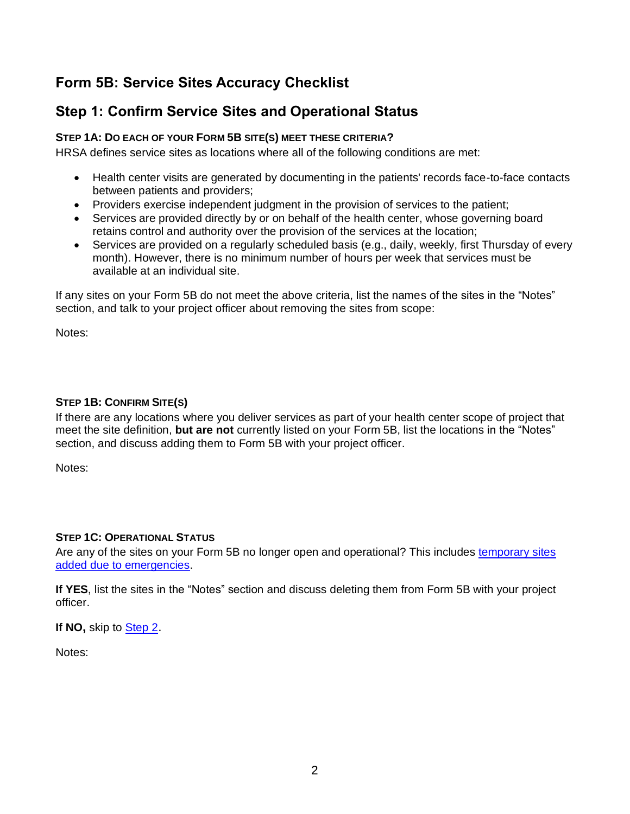# <span id="page-1-0"></span>**Form 5B: Service Sites Accuracy Checklist**

### **Step 1: Confirm Service Sites and Operational Status**

#### **STEP 1A: DO EACH OF YOUR FORM 5B SITE(S) MEET THESE CRITERIA?**

HRSA defines service sites as locations where all of the following conditions are met:

- Health center visits are generated by documenting in the patients' records face-to-face contacts between patients and providers;
- Providers exercise independent judgment in the provision of services to the patient;
- Services are provided directly by or on behalf of the health center, whose governing board retains control and authority over the provision of the services at the location;
- Services are provided on a regularly scheduled basis (e.g., daily, weekly, first Thursday of every month). However, there is no minimum number of hours per week that services must be available at an individual site.

If any sites on your Form 5B do not meet the above criteria, list the names of the sites in the "Notes" section, and talk to your project officer about removing the sites from scope:

Notes:

#### **STEP 1B: CONFIRM SITE(S)**

If there are any locations where you deliver services as part of your health center scope of project that meet the site definition, **but are not** currently listed on your Form 5B, list the locations in the "Notes" section, and discuss adding them to Form 5B with your project officer.

Notes:

#### **STEP 1C: OPERATIONAL STATUS**

Are any of the sites on your Form 5B no longer open and operational? This includes [temporary sites](https://bphc.hrsa.gov/sites/default/files/bphc/programrequirements/pdf/pal202005.pdf)  [added due to emergencies.](https://bphc.hrsa.gov/sites/default/files/bphc/programrequirements/pdf/pal202005.pdf)

**If YES**, list the sites in the "Notes" section and discuss deleting them from Form 5B with your project officer.

**If NO,** skip to [Step 2](#page-2-0).

Notes: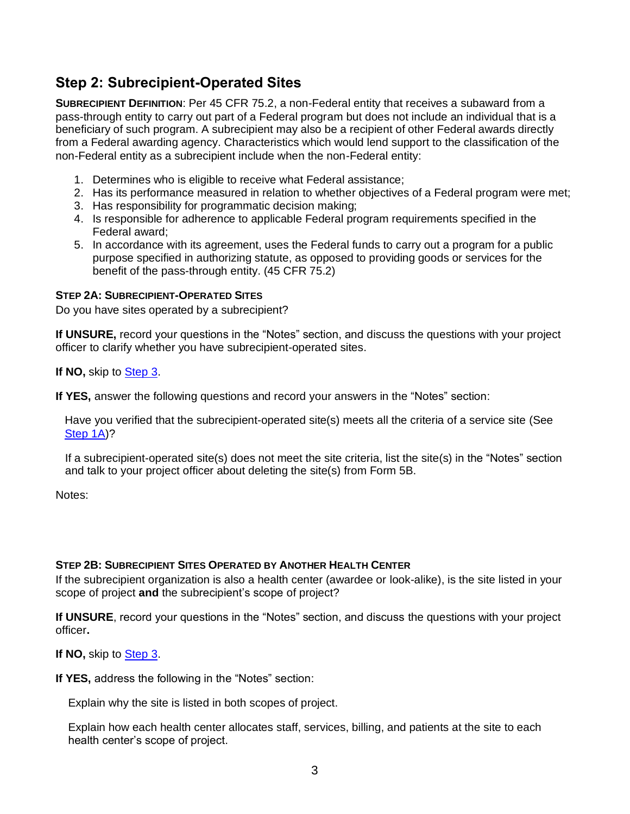### <span id="page-2-0"></span>**Step 2: Subrecipient-Operated Sites**

**SUBRECIPIENT DEFINITION**: Per 45 CFR 75.2, a non-Federal entity that receives a subaward from a pass-through entity to carry out part of a Federal program but does not include an individual that is a beneficiary of such program. A subrecipient may also be a recipient of other Federal awards directly from a Federal awarding agency. Characteristics which would lend support to the classification of the non-Federal entity as a subrecipient include when the non-Federal entity:

- 1. Determines who is eligible to receive what Federal assistance;
- 2. Has its performance measured in relation to whether objectives of a Federal program were met;
- 3. Has responsibility for programmatic decision making;
- 4. Is responsible for adherence to applicable Federal program requirements specified in the Federal award;
- 5. In accordance with its agreement, uses the Federal funds to carry out a program for a public purpose specified in authorizing statute, as opposed to providing goods or services for the benefit of the pass-through entity. (45 CFR 75.2)

#### **STEP 2A: SUBRECIPIENT-OPERATED SITES**

Do you have sites operated by a subrecipient?

**If UNSURE,** record your questions in the "Notes" section, and discuss the questions with your project officer to clarify whether you have subrecipient-operated sites.

**If NO,** skip to [Step 3.](#page-3-0)

**If YES,** answer the following questions and record your answers in the "Notes" section:

Have you verified that the subrecipient-operated site(s) meets all the criteria of a service site (See [Step 1A\)](#page-1-0)?

If a subrecipient-operated site(s) does not meet the site criteria, list the site(s) in the "Notes" section and talk to your project officer about deleting the site(s) from Form 5B.

Notes:

#### **STEP 2B: SUBRECIPIENT SITES OPERATED BY ANOTHER HEALTH CENTER**

If the subrecipient organization is also a health center (awardee or look-alike), is the site listed in your scope of project **and** the subrecipient's scope of project?

**If UNSURE**, record your questions in the "Notes" section, and discuss the questions with your project officer**.** 

**If NO,** skip to [Step 3](#page-3-0).

**If YES,** address the following in the "Notes" section:

Explain why the site is listed in both scopes of project.

Explain how each health center allocates staff, services, billing, and patients at the site to each health center's scope of project.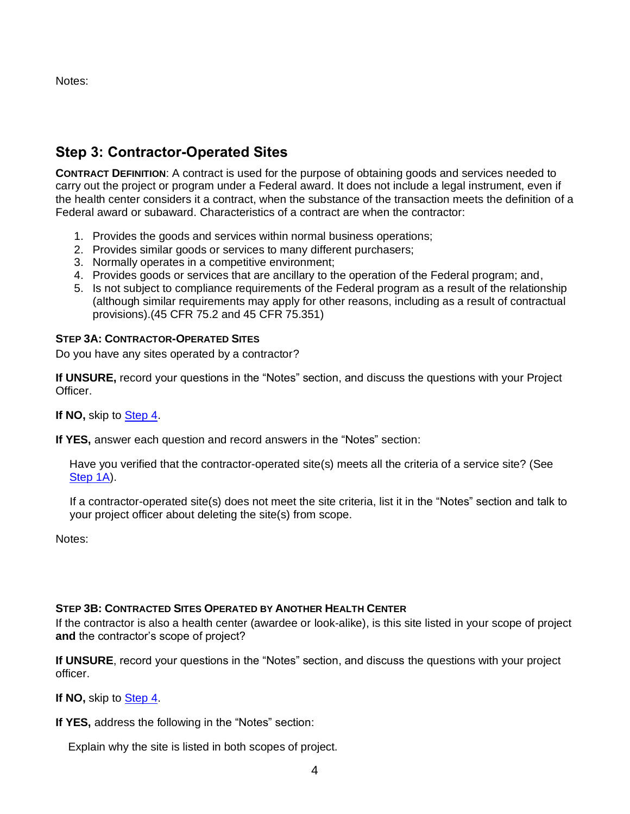<span id="page-3-0"></span>Notes:

### **Step 3: Contractor-Operated Sites**

**CONTRACT DEFINITION**: A contract is used for the purpose of obtaining goods and services needed to carry out the project or program under a Federal award. It does not include a legal instrument, even if the health center considers it a contract, when the substance of the transaction meets the definition of a Federal award or subaward. Characteristics of a contract are when the contractor:

- 1. Provides the goods and services within normal business operations;
- 2. Provides similar goods or services to many different purchasers;
- 3. Normally operates in a competitive environment;
- 4. Provides goods or services that are ancillary to the operation of the Federal program; and,
- 5. Is not subject to compliance requirements of the Federal program as a result of the relationship (although similar requirements may apply for other reasons, including as a result of contractual provisions).(45 CFR 75.2 and 45 CFR 75.351)

#### **STEP 3A: CONTRACTOR-OPERATED SITES**

Do you have any sites operated by a contractor?

**If UNSURE,** record your questions in the "Notes" section, and discuss the questions with your Project Officer.

**If NO,** skip to [Step 4.](#page-4-0)

**If YES,** answer each question and record answers in the "Notes" section:

Have you verified that the contractor-operated site(s) meets all the criteria of a service site? (See [Step 1A\)](#page-1-0).

If a contractor-operated site(s) does not meet the site criteria, list it in the "Notes" section and talk to your project officer about deleting the site(s) from scope.

Notes:

#### **STEP 3B: CONTRACTED SITES OPERATED BY ANOTHER HEALTH CENTER**

If the contractor is also a health center (awardee or look-alike), is this site listed in your scope of project **and** the contractor's scope of project?

**If UNSURE**, record your questions in the "Notes" section, and discuss the questions with your project officer.

**If NO,** skip to [Step 4.](#page-4-0)

**If YES,** address the following in the "Notes" section:

Explain why the site is listed in both scopes of project.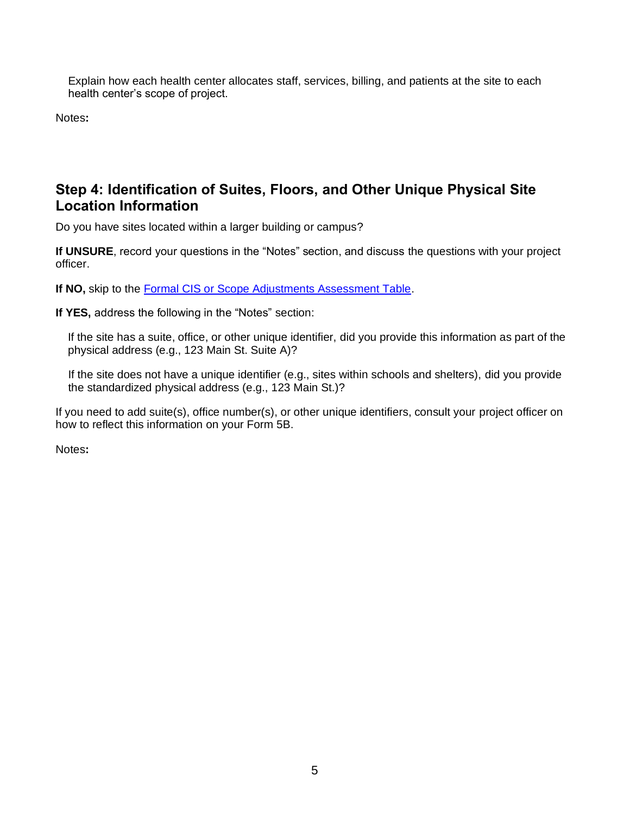Explain how each health center allocates staff, services, billing, and patients at the site to each health center's scope of project.

Notes**:** 

### <span id="page-4-0"></span>**Step 4: Identification of Suites, Floors, and Other Unique Physical Site Location Information**

Do you have sites located within a larger building or campus?

**If UNSURE**, record your questions in the "Notes" section, and discuss the questions with your project officer.

**If NO,** skip to the [Formal CIS or Scope Adjustments Assessment Table.](#page-5-0)

**If YES,** address the following in the "Notes" section:

If the site has a suite, office, or other unique identifier, did you provide this information as part of the physical address (e.g., 123 Main St. Suite A)?

If the site does not have a unique identifier (e.g., sites within schools and shelters), did you provide the standardized physical address (e.g., 123 Main St.)?

If you need to add suite(s), office number(s), or other unique identifiers, consult your project officer on how to reflect this information on your Form 5B.

Notes**:**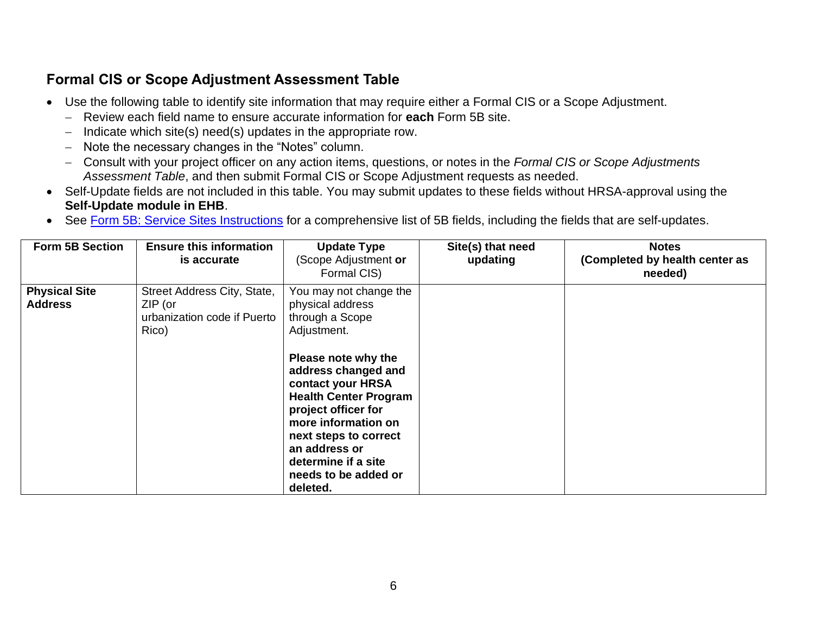# **Formal CIS or Scope Adjustment Assessment Table**

- Use the following table to identify site information that may require either a Formal CIS or a Scope Adjustment.
	- − Review each field name to ensure accurate information for **each** Form 5B site.
	- − Indicate which site(s) need(s) updates in the appropriate row.
	- − Note the necessary changes in the "Notes" column.
	- − Consult with your project officer on any action items, questions, or notes in the *Formal CIS or Scope Adjustments Assessment Table*, and then submit Formal CIS or Scope Adjustment requests as needed.
- Self-Update fields are not included in this table. You may submit updates to these fields without HRSA-approval using the **Self-Update module in EHB**.
- See [Form 5B: Service Sites Instructions](https://bphc.hrsa.gov/sites/default/files/bphc/programrequirements/scope/form5binstructions.pdf) for a comprehensive list of 5B fields, including the fields that are self-updates.

<span id="page-5-0"></span>

| <b>Form 5B Section</b>                 | <b>Ensure this information</b><br>is accurate                                    | <b>Update Type</b><br>(Scope Adjustment or<br>Formal CIS)                                                                                                                                                                                                                                                                          | Site(s) that need<br>updating | <b>Notes</b><br>(Completed by health center as<br>needed) |
|----------------------------------------|----------------------------------------------------------------------------------|------------------------------------------------------------------------------------------------------------------------------------------------------------------------------------------------------------------------------------------------------------------------------------------------------------------------------------|-------------------------------|-----------------------------------------------------------|
| <b>Physical Site</b><br><b>Address</b> | Street Address City, State,<br>$ZIP$ (or<br>urbanization code if Puerto<br>Rico) | You may not change the<br>physical address<br>through a Scope<br>Adjustment.<br>Please note why the<br>address changed and<br>contact your HRSA<br><b>Health Center Program</b><br>project officer for<br>more information on<br>next steps to correct<br>an address or<br>determine if a site<br>needs to be added or<br>deleted. |                               |                                                           |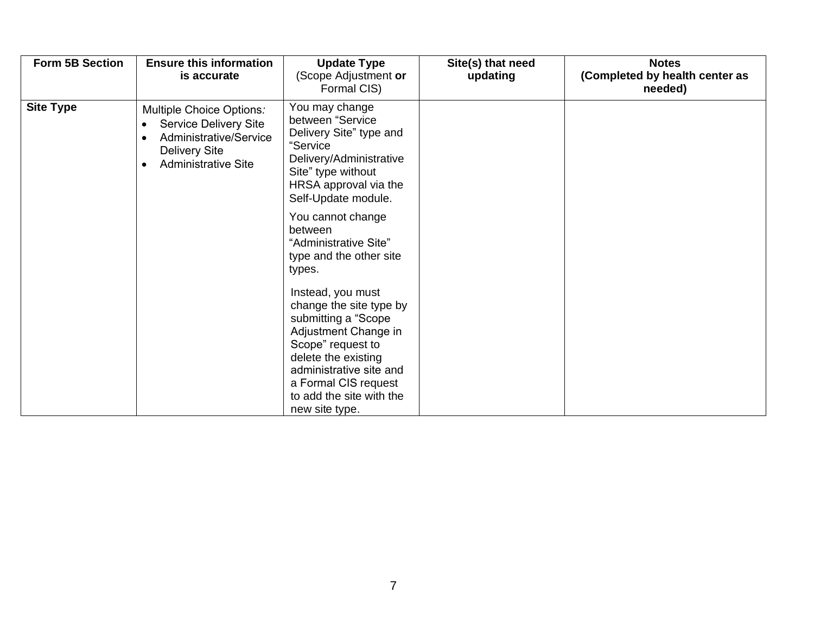| Form 5B Section  | <b>Ensure this information</b><br>is accurate                                                                                                  | <b>Update Type</b><br>(Scope Adjustment or<br>Formal CIS)                                                                                                                                                                                | Site(s) that need<br>updating | <b>Notes</b><br>(Completed by health center as<br>needed) |
|------------------|------------------------------------------------------------------------------------------------------------------------------------------------|------------------------------------------------------------------------------------------------------------------------------------------------------------------------------------------------------------------------------------------|-------------------------------|-----------------------------------------------------------|
| <b>Site Type</b> | Multiple Choice Options:<br>Service Delivery Site<br>$\bullet$<br>Administrative/Service<br><b>Delivery Site</b><br><b>Administrative Site</b> | You may change<br>between "Service<br>Delivery Site" type and<br>"Service<br>Delivery/Administrative<br>Site" type without<br>HRSA approval via the<br>Self-Update module.                                                               |                               |                                                           |
|                  |                                                                                                                                                | You cannot change<br>between<br>"Administrative Site"<br>type and the other site<br>types.                                                                                                                                               |                               |                                                           |
|                  |                                                                                                                                                | Instead, you must<br>change the site type by<br>submitting a "Scope<br>Adjustment Change in<br>Scope" request to<br>delete the existing<br>administrative site and<br>a Formal CIS request<br>to add the site with the<br>new site type. |                               |                                                           |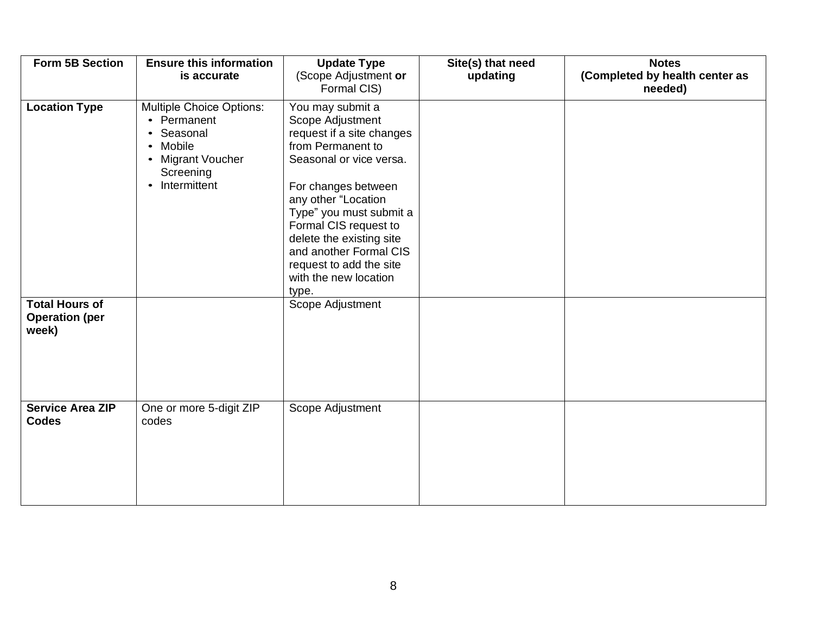| Form 5B Section                                         | <b>Ensure this information</b><br>is accurate                                                                                 | <b>Update Type</b><br>(Scope Adjustment or<br>Formal CIS)                                                                                                                                                                                                                                                                              | Site(s) that need<br>updating | <b>Notes</b><br>(Completed by health center as<br>needed) |
|---------------------------------------------------------|-------------------------------------------------------------------------------------------------------------------------------|----------------------------------------------------------------------------------------------------------------------------------------------------------------------------------------------------------------------------------------------------------------------------------------------------------------------------------------|-------------------------------|-----------------------------------------------------------|
| <b>Location Type</b>                                    | <b>Multiple Choice Options:</b><br>• Permanent<br>Seasonal<br>Mobile<br><b>Migrant Voucher</b><br>Screening<br>• Intermittent | You may submit a<br>Scope Adjustment<br>request if a site changes<br>from Permanent to<br>Seasonal or vice versa.<br>For changes between<br>any other "Location<br>Type" you must submit a<br>Formal CIS request to<br>delete the existing site<br>and another Formal CIS<br>request to add the site<br>with the new location<br>type. |                               |                                                           |
| <b>Total Hours of</b><br><b>Operation (per</b><br>week) |                                                                                                                               | Scope Adjustment                                                                                                                                                                                                                                                                                                                       |                               |                                                           |
| <b>Service Area ZIP</b><br><b>Codes</b>                 | One or more 5-digit ZIP<br>codes                                                                                              | Scope Adjustment                                                                                                                                                                                                                                                                                                                       |                               |                                                           |